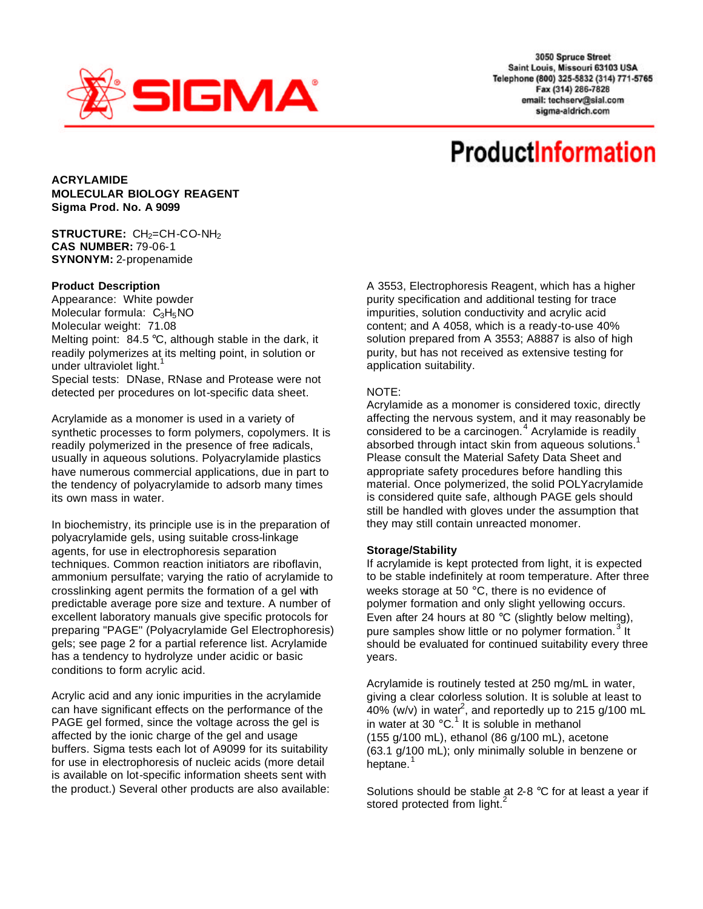

3050 Spruce Street Saint Louis, Missouri 63103 USA Telephone (800) 325-5832 (314) 771-5765 Fax (314) 286-7828 email: techserv@sial.com sigma-aldrich.com

# **ProductInformation**

**ACRYLAMIDE MOLECULAR BIOLOGY REAGENT Sigma Prod. No. A 9099**

## **STRUCTURE:** CH<sub>2</sub>=CH-CO-NH<sub>2</sub> **CAS NUMBER:** 79-06-1 **SYNONYM:** 2-propenamide

## **Product Description**

Appearance: White powder Molecular formula:  $C_3H_5NO$ Molecular weight: 71.08 Melting point: 84.5 °C, although stable in the dark, it readily polymerizes at its melting point, in solution or under ultraviolet light.<sup>1</sup> Special tests: DNase, RNase and Protease were not detected per procedures on lot-specific data sheet.

Acrylamide as a monomer is used in a variety of synthetic processes to form polymers, copolymers. It is readily polymerized in the presence of free radicals, usually in aqueous solutions. Polyacrylamide plastics have numerous commercial applications, due in part to the tendency of polyacrylamide to adsorb many times its own mass in water.

In biochemistry, its principle use is in the preparation of polyacrylamide gels, using suitable cross-linkage agents, for use in electrophoresis separation techniques. Common reaction initiators are riboflavin, ammonium persulfate; varying the ratio of acrylamide to crosslinking agent permits the formation of a gel with predictable average pore size and texture. A number of excellent laboratory manuals give specific protocols for preparing "PAGE" (Polyacrylamide Gel Electrophoresis) gels; see page 2 for a partial reference list. Acrylamide has a tendency to hydrolyze under acidic or basic conditions to form acrylic acid.

Acrylic acid and any ionic impurities in the acrylamide can have significant effects on the performance of the PAGE gel formed, since the voltage across the gel is affected by the ionic charge of the gel and usage buffers. Sigma tests each lot of A9099 for its suitability for use in electrophoresis of nucleic acids (more detail is available on lot-specific information sheets sent with the product.) Several other products are also available: A 3553, Electrophoresis Reagent, which has a higher purity specification and additional testing for trace impurities, solution conductivity and acrylic acid content; and A 4058, which is a ready-to-use 40% solution prepared from A 3553; A8887 is also of high purity, but has not received as extensive testing for application suitability.

## NOTE:

Acrylamide as a monomer is considered toxic, directly affecting the nervous system, and it may reasonably be considered to be a carcinogen. $4$  Acrylamide is readily absorbed through intact skin from aqueous solutions. Please consult the Material Safety Data Sheet and appropriate safety procedures before handling this material. Once polymerized, the solid POLYacrylamide is considered quite safe, although PAGE gels should still be handled with gloves under the assumption that they may still contain unreacted monomer.

#### **Storage/Stability**

If acrylamide is kept protected from light, it is expected to be stable indefinitely at room temperature. After three weeks storage at 50 °C, there is no evidence of polymer formation and only slight yellowing occurs. Even after 24 hours at 80 °C (slightly below melting), pure samples show little or no polymer formation.<sup>3</sup> It should be evaluated for continued suitability every three years.

Acrylamide is routinely tested at 250 mg/mL in water, giving a clear colorless solution. It is soluble at least to  $\frac{3}{40\%}$  (w/v) in water<sup>2</sup>, and reportedly up to 215 g/100 mL in water at 30 $^{\circ}$ C.<sup>1</sup> It is soluble in methanol (155 g/100 mL), ethanol (86 g/100 mL), acetone (63.1 g/100 mL); only minimally soluble in benzene or heptane.

Solutions should be stable at 2-8 °C for at least a year if stored protected from light.<sup>2</sup>